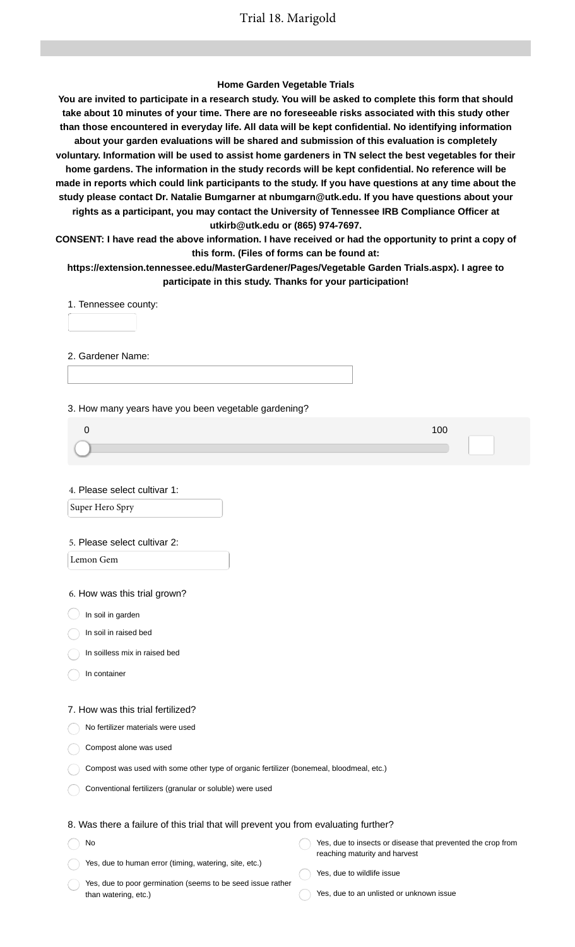### **Home Garden Vegetable Trials**

**You are invited to participate in a research study. You will be asked to complete this form that should take about 10 minutes of your time. There are no foreseeable risks associated with this study other than those encountered in everyday life. All data will be kept confidential. No identifying information about your garden evaluations will be shared and submission of this evaluation is completely voluntary. Information will be used to assist home gardeners in TN select the best vegetables for their home gardens. The information in the study records will be kept confidential. No reference will be made in reports which could link participants to the study. If you have questions at any time about the study please contact Dr. Natalie Bumgarner at nbumgarn@utk.edu. If you have questions about your rights as a participant, you may contact the University of Tennessee IRB Compliance Officer at utkirb@utk.edu or (865) 974-7697.**

**CONSENT: I have read the above information. I have received or had the opportunity to print a copy of this form. (Files of forms can be found at:**

**https://extension.tennessee.edu/MasterGardener/Pages/Vegetable Garden Trials.aspx). I agree to participate in this study. Thanks for your participation!**

1. Tennessee county:

2. Gardener Name:

3. How many years have you been vegetable gardening?

4. Please select cultivar 1:

Super Hero Spry

#### 5. Please select cultivar 2:

Lemon Gem

6. How was this trial grown?

 $\big)$  In soil in garden

In soil in raised bed

In soilless mix in raised bed

In container

#### 7. How was this trial fertilized?

No fertilizer materials were used

Compost alone was used

|  |  |  |  |  |  | Compost was used with some other type of organic fertilizer (bonemeal, bloodmeal, etc.) |  |  |  |
|--|--|--|--|--|--|-----------------------------------------------------------------------------------------|--|--|--|
|--|--|--|--|--|--|-----------------------------------------------------------------------------------------|--|--|--|

Conventional fertilizers (granular or soluble) were used

## 8. Was there a failure of this trial that will prevent you from evaluating further?

| No                                                     | Yes, due to insects or disease that prevented the crop from |
|--------------------------------------------------------|-------------------------------------------------------------|
|                                                        | reaching maturity and harvest                               |
| Yes, due to human error (timing, watering, site, etc.) |                                                             |

Yes, due to poor germination (seems to be seed issue rather than watering, etc.)

- Yes, due to wildlife issue
- Yes, due to an unlisted or unknown issue